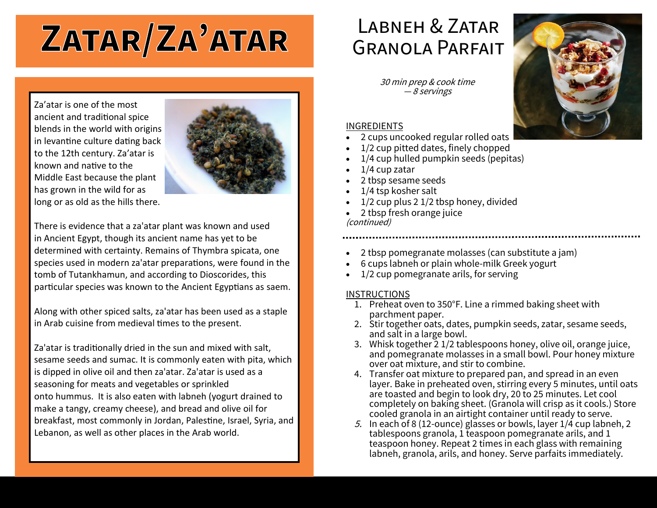# ZATAR/ZA'ATAR

### LABNEH & ZATAR Granola Parfait

30 min prep & cook time — 8 servings

#### INGREDIENTS

- 2 cups uncooked regular rolled oats
- 1/2 cup pitted dates, finely chopped
- 1/4 cup hulled pumpkin seeds (pepitas)
- 1/4 cup zatar
- 2 tbsp sesame seeds
- 1/4 tsp kosher salt
- 1/2 cup plus 2 1/2 tbsp honey, divided
- 2 tbsp fresh orange juice (continued)
- 2 tbsp pomegranate molasses (can substitute a jam)
- 6 cups labneh or plain whole-milk Greek yogurt
- 1/2 cup pomegranate arils, for serving

#### **INSTRUCTIONS**

- 1. Preheat oven to 350°F. Line a rimmed baking sheet with parchment paper.
- 2. Stir together oats, dates, pumpkin seeds, zatar, sesame seeds, and salt in a large bowl.
- 3. Whisk together 2 1/2 tablespoons honey, olive oil, orange juice, and pomegranate molasses in a small bowl. Pour honey mixture over oat mixture, and stir to combine.
- 4. Transfer oat mixture to prepared pan, and spread in an even layer. Bake in preheated oven, stirring every 5 minutes, until oats are toasted and begin to look dry, 20 to 25 minutes. Let cool completely on baking sheet. (Granola will crisp as it cools.) Store cooled granola in an airtight container until ready to serve.
- 5. In each of 8 (12-ounce) glasses or bowls, layer  $1/4$  cup labneh, 2 tablespoons granola, 1 teaspoon pomegranate arils, and 1 teaspoon honey. Repeat 2 times in each glass with remaining labneh, granola, arils, and honey. Serve parfaits immediately.

Za'atar is one of the most ancient and traditional spice blends in the world with origins in levantine culture dating back to the 12th century. Za'atar is known and native to the Middle East because the plant has grown in the wild for as long or as old as the hills there.



There is evidence that a za'atar plant was known and used in Ancient Egypt, though its ancient name has yet to be determined with certainty. Remains of Thymbra spicata, one species used in modern za'atar preparations, were found in the tomb of Tutankhamun, and according to Dioscorides, this particular species was known to the Ancient Egyptians as saem.

Along with other spiced salts, za'atar has been used as a staple in Arab cuisine from medieval times to the present.

Za'atar is traditionally dried in the sun and mixed with salt, sesame seeds and sumac. It is commonly eaten with pita, which is dipped in olive oil and then za'atar. Za'atar is used as a seasoning for meats and vegetables or sprinkled onto hummus. It is also eaten with labneh (yogurt drained to make a tangy, creamy cheese), and bread and olive oil for breakfast, most commonly in Jordan, Palestine, Israel, Syria, and Lebanon, as well as other places in the Arab world.

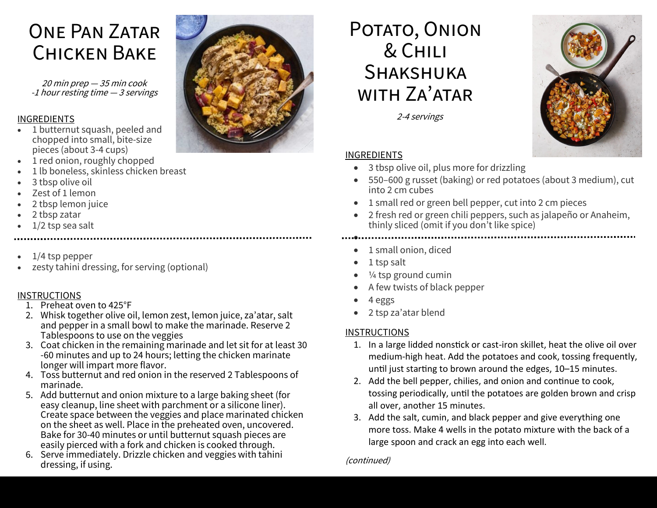## One Pan Zatar Chicken Bake

20 min prep — 35 min cook -1 hour resting time — 3 servings

#### INGREDIENTS

- 1 butternut squash, peeled and chopped into small, bite-size pieces (about 3-4 cups)
- 1 red onion, roughly chopped
- 1 lb boneless, skinless chicken breast
- 3 tbsp olive oil
- Zest of 1 lemon
- 2 tbsp lemon juice
- 2 tbsp zatar
- $1/2$  tsp sea salt
- 1/4 tsp pepper
- zesty tahini dressing, for serving (optional)

#### **INSTRUCTIONS**

- 1. Preheat oven to 425°F
- 2. Whisk together olive oil, lemon zest, lemon juice, za'atar, salt and pepper in a small bowl to make the marinade. Reserve 2 Tablespoons to use on the veggies
- 3. Coat chicken in the remaining marinade and let sit for at least 30 -60 minutes and up to 24 hours; letting the chicken marinate longer will impart more flavor.
- 4. Toss butternut and red onion in the reserved 2 Tablespoons of marinade.
- 5. Add butternut and onion mixture to a large baking sheet (for easy cleanup, line sheet with parchment or a silicone liner). Create space between the veggies and place marinated chicken on the sheet as well. Place in the preheated oven, uncovered. Bake for 30-40 minutes or until butternut squash pieces are easily pierced with a fork and chicken is cooked through.
- 6. Serve immediately. Drizzle chicken and veggies with tahini dressing, if using.



2-4 servings

#### INGREDIENTS

- 3 tbsp olive oil, plus more for drizzling
- 550–600 g russet (baking) or red potatoes (about 3 medium), cut into 2 cm cubes
- 1 small red or green bell pepper, cut into 2 cm pieces
- 2 fresh red or green chili peppers, such as jalapeño or Anaheim, thinly sliced (omit if you don't like spice)

- 1 small onion, diced
- 1 tsp salt

•

- 1/4 tsp ground cumin
- A few twists of black pepper
- 4 eggs
- 2 tsp za'atar blend

#### **INSTRUCTIONS**

- 1. In a large lidded nonstick or cast-iron skillet, heat the olive oil over medium-high heat. Add the potatoes and cook, tossing frequently, until just starting to brown around the edges, 10–15 minutes.
- 2. Add the bell pepper, chilies, and onion and continue to cook, tossing periodically, until the potatoes are golden brown and crisp all over, another 15 minutes.
- 3. Add the salt, cumin, and black pepper and give everything one more toss. Make 4 wells in the potato mixture with the back of a large spoon and crack an egg into each well.

#### (continued)